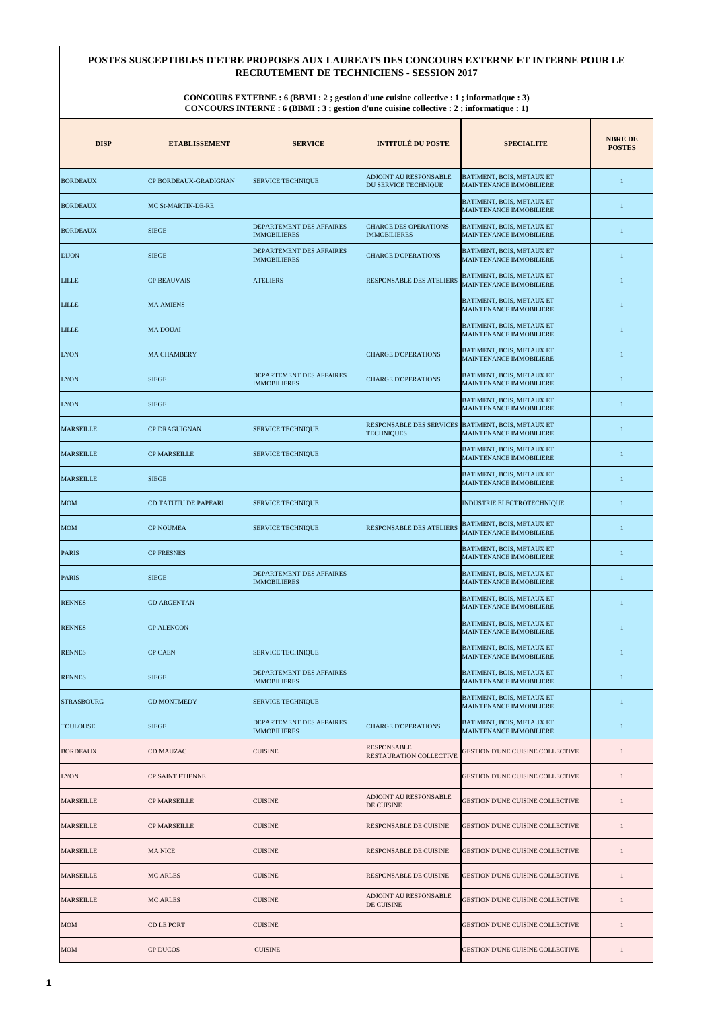| <b>DISP</b>       | <b>ETABLISSEMENT</b>      | <b>SERVICE</b>                                         | <b>INTITULÉ DU POSTE</b>                             | <b>SPECIALITE</b>                                                  | <b>NBRE DE</b><br><b>POSTES</b> |
|-------------------|---------------------------|--------------------------------------------------------|------------------------------------------------------|--------------------------------------------------------------------|---------------------------------|
| <b>BORDEAUX</b>   | CP BORDEAUX-GRADIGNAN     | <b>SERVICE TECHNIQUE</b>                               | ADJOINT AU RESPONSABLE<br>DU SERVICE TECHNIQUE       | BATIMENT, BOIS, METAUX ET<br><b>MAINTENANCE IMMOBILIERE</b>        | 1                               |
| <b>BORDEAUX</b>   | <b>MC St-MARTIN-DE-RE</b> |                                                        |                                                      | BATIMENT, BOIS, METAUX ET<br>MAINTENANCE IMMOBILIERE               | 1                               |
| <b>BORDEAUX</b>   | <b>SIEGE</b>              | <b>DEPARTEMENT DES AFFAIRES</b><br><b>IMMOBILIERES</b> | <b>CHARGE DES OPERATIONS</b><br><b>IMMOBILIERES</b>  | BATIMENT, BOIS, METAUX ET<br><b>MAINTENANCE IMMOBILIERE</b>        | 1                               |
| <b>DIJON</b>      | <b>SIEGE</b>              | <b>DEPARTEMENT DES AFFAIRES</b><br><b>IMMOBILIERES</b> | <b>CHARGE D'OPERATIONS</b>                           | BATIMENT, BOIS, METAUX ET<br><b>MAINTENANCE IMMOBILIERE</b>        | 1                               |
| <b>LILLE</b>      | <b>CP BEAUVAIS</b>        | <b>ATELIERS</b>                                        | <b>RESPONSABLE DES ATELIERS</b>                      | BATIMENT, BOIS, METAUX ET<br><b>MAINTENANCE IMMOBILIERE</b>        | 1                               |
| <b>LILLE</b>      | <b>MA AMIENS</b>          |                                                        |                                                      | BATIMENT, BOIS, METAUX ET<br><b>MAINTENANCE IMMOBILIERE</b>        | 1                               |
| <b>LILLE</b>      | <b>MA DOUAI</b>           |                                                        |                                                      | BATIMENT, BOIS, METAUX ET<br><b>MAINTENANCE IMMOBILIERE</b>        | 1                               |
| <b>LYON</b>       | <b>MA CHAMBERY</b>        |                                                        | <b>CHARGE D'OPERATIONS</b>                           | BATIMENT, BOIS, METAUX ET<br><b>MAINTENANCE IMMOBILIERE</b>        | 1                               |
| <b>LYON</b>       | <b>SIEGE</b>              | <b>DEPARTEMENT DES AFFAIRES</b><br><b>IMMOBILIERES</b> | <b>CHARGE D'OPERATIONS</b>                           | BATIMENT, BOIS, METAUX ET<br><b>MAINTENANCE IMMOBILIERE</b>        | 1                               |
| <b>LYON</b>       | <b>SIEGE</b>              |                                                        |                                                      | BATIMENT, BOIS, METAUX ET<br><b>MAINTENANCE IMMOBILIERE</b>        | 1                               |
| <b>MARSEILLE</b>  | <b>CP DRAGUIGNAN</b>      | <b>SERVICE TECHNIQUE</b>                               | <b>RESPONSABLE DES SERVICES</b><br><b>TECHNIQUES</b> | <b>BATIMENT, BOIS, METAUX ET</b><br><b>MAINTENANCE IMMOBILIERE</b> | 1                               |
| <b>MARSEILLE</b>  | <b>CP MARSEILLE</b>       | <b>SERVICE TECHNIQUE</b>                               |                                                      | BATIMENT, BOIS, METAUX ET<br><b>MAINTENANCE IMMOBILIERE</b>        | 1                               |
| <b>MARSEILLE</b>  | <b>SIEGE</b>              |                                                        |                                                      | BATIMENT, BOIS, METAUX ET<br><b>MAINTENANCE IMMOBILIERE</b>        | 1                               |
| <b>MOM</b>        | CD TATUTU DE PAPEARI      | <b>SERVICE TECHNIQUE</b>                               |                                                      | <b>INDUSTRIE ELECTROTECHNIQUE</b>                                  | 1                               |
| <b>MOM</b>        | <b>CP NOUMEA</b>          | <b>SERVICE TECHNIQUE</b>                               | <b>RESPONSABLE DES ATELIERS</b>                      | BATIMENT, BOIS, METAUX ET<br>MAINTENANCE IMMOBILIERE               | 1                               |
| <b>PARIS</b>      | <b>CP FRESNES</b>         |                                                        |                                                      | BATIMENT, BOIS, METAUX ET<br>MAINTENANCE IMMOBILIERE               | 1                               |
| <b>PARIS</b>      | <b>SIEGE</b>              | DEPARTEMENT DES AFFAIRES<br><b>IMMOBILIERES</b>        |                                                      | BATIMENT, BOIS, METAUX ET<br><b>MAINTENANCE IMMOBILIERE</b>        | 1                               |
| <b>RENNES</b>     | <b>CD ARGENTAN</b>        |                                                        |                                                      | BATIMENT, BOIS, METAUX ET<br><b>MAINTENANCE IMMOBILIERE</b>        | 1                               |
| <b>RENNES</b>     | <b>CP ALENCON</b>         |                                                        |                                                      | BATIMENT, BOIS, METAUX ET<br><b>MAINTENANCE IMMOBILIERE</b>        | 1                               |
| <b>RENNES</b>     | <b>CP CAEN</b>            | <b>SERVICE TECHNIQUE</b>                               |                                                      | BATIMENT, BOIS, METAUX ET<br><b>MAINTENANCE IMMOBILIERE</b>        | 1                               |
| <b>RENNES</b>     | <b>SIEGE</b>              | DEPARTEMENT DES AFFAIRES<br><b>IMMOBILIERES</b>        |                                                      | BATIMENT, BOIS, METAUX ET<br><b>MAINTENANCE IMMOBILIERE</b>        | 1                               |
| <b>STRASBOURG</b> | <b>CD MONTMEDY</b>        | <b>SERVICE TECHNIQUE</b>                               |                                                      | BATIMENT, BOIS, METAUX ET<br><b>MAINTENANCE IMMOBILIERE</b>        | 1                               |
| <b>TOULOUSE</b>   | <b>SIEGE</b>              | DEPARTEMENT DES AFFAIRES<br><b>IMMOBILIERES</b>        | <b>CHARGE D'OPERATIONS</b>                           | BATIMENT, BOIS, METAUX ET<br><b>MAINTENANCE IMMOBILIERE</b>        | 1                               |
| <b>BORDEAUX</b>   | CD MAUZAC                 | <b>CUISINE</b>                                         | <b>RESPONSABLE</b><br>RESTAURATION COLLECTIVE        | GESTION D'UNE CUISINE COLLECTIVE                                   | 1                               |
| <b>LYON</b>       | <b>CP SAINT ETIENNE</b>   |                                                        |                                                      | <b>GESTION D'UNE CUISINE COLLECTIVE</b>                            | 1                               |
| <b>MARSEILLE</b>  | <b>CP MARSEILLE</b>       | <b>CUISINE</b>                                         | <b>ADJOINT AU RESPONSABLE</b><br>DE CUISINE          | <b>GESTION D'UNE CUISINE COLLECTIVE</b>                            | 1                               |
| <b>MARSEILLE</b>  | CP MARSEILLE              | <b>CUISINE</b>                                         | RESPONSABLE DE CUISINE                               | <b>GESTION D'UNE CUISINE COLLECTIVE</b>                            | 1                               |
| <b>MARSEILLE</b>  | <b>MA NICE</b>            | <b>CUISINE</b>                                         | RESPONSABLE DE CUISINE                               | <b>GESTION D'UNE CUISINE COLLECTIVE</b>                            | 1                               |
| <b>MARSEILLE</b>  | <b>MC ARLES</b>           | <b>CUISINE</b>                                         | RESPONSABLE DE CUISINE                               | <b>GESTION D'UNE CUISINE COLLECTIVE</b>                            |                                 |
| <b>MARSEILLE</b>  | <b>MC ARLES</b>           | <b>CUISINE</b>                                         | ADJOINT AU RESPONSABLE<br>DE CUISINE                 | GESTION D'UNE CUISINE COLLECTIVE                                   | 1                               |
| <b>MOM</b>        | CD LE PORT                | <b>CUISINE</b>                                         |                                                      | GESTION D'UNE CUISINE COLLECTIVE                                   | 1                               |
| <b>MOM</b>        | <b>CP DUCOS</b>           | <b>CUISINE</b>                                         |                                                      | <b>GESTION D'UNE CUISINE COLLECTIVE</b>                            | 1                               |

## **POSTES SUSCEPTIBLES D'ETRE PROPOSES AUX LAUREATS DES CONCOURS EXTERNE ET INTERNE POUR LE RECRUTEMENT DE TECHNICIENS - SESSION 2017**

**CONCOURS EXTERNE : 6 (BBMI : 2 ; gestion d'une cuisine collective : 1 ; informatique : 3) CONCOURS INTERNE : 6 (BBMI : 3 ; gestion d'une cuisine collective : 2 ; informatique : 1)**

**1**